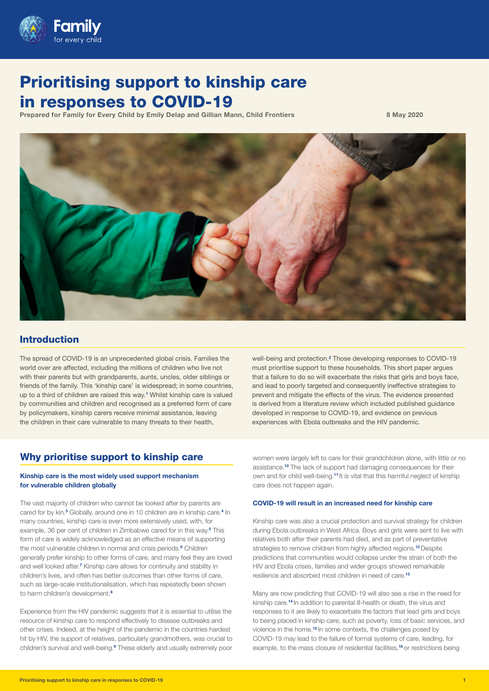

# Prioritising support to kinship care in responses to COVID-19

Prepared for Family for Every Child by Emily Delap and Gillian Mann, Child Frontiers 8 May 2020



## Introduction

The spread of COVID-19 is an unprecedented global crisis. Families the world over are affected, including the millions of children who live not with their parents but with grandparents, aunts, uncles, older siblings or friends of the family. This 'kinship care' is widespread; in some countries, up to a third of children are raised this way.**<sup>1</sup>** Whilst kinship care is valued by communities and children and recognised as a preferred form of care by policymakers, kinship carers receive minimal assistance, leaving the children in their care vulnerable to many threats to their health,

well-being and protection.<sup>2</sup> Those developing responses to COVID-19 must prioritise support to these households. This short paper argues that a failure to do so will exacerbate the risks that girls and boys face, and lead to poorly targeted and consequently ineffective strategies to prevent and mitigate the effects of the virus. The evidence presented is derived from a literature review which included published guidance developed in response to COVID-19, and evidence on previous experiences with Ebola outbreaks and the HIV pandemic.

## Why prioritise support to kinship care

#### Kinship care is the most widely used support mechanism for vulnerable children globally

The vast majority of children who cannot be looked after by parents are cared for by kin.<sup>3</sup> Globally, around one in 10 children are in kinship care.<sup>4</sup> In many countries, kinship care is even more extensively used, with, for example, 36 per cent of children in Zimbabwe cared for in this way.**<sup>5</sup>** This form of care is widely acknowledged as an effective means of supporting the most vulnerable children in normal and crisis periods.**<sup>6</sup>** Children generally prefer kinship to other forms of care, and many feel they are loved and well looked after.<sup>7</sup> Kinship care allows for continuity and stability in children's lives, and often has better outcomes than other forms of care, such as large-scale institutionalisation, which has repeatedly been shown to harm children's development.**<sup>8</sup>**

Experience from the HIV pandemic suggests that it is essential to utilise the resource of kinship care to respond effectively to disease outbreaks and other crises. Indeed, at the height of the pandemic in the countries hardest hit by HIV, the support of relatives, particularly grandmothers, was crucial to children's survival and well-being.**<sup>9</sup>** These elderly and usually extremely poor women were largely left to care for their grandchildren alone, with little or no assistance.**10** The lack of support had damaging consequences for their own and for child well-being.**11** It is vital that this harmful neglect of kinship care does not happen again.

#### COVID-19 will result in an increased need for kinship care

Kinship care was also a crucial protection and survival strategy for children during Ebola outbreaks in West Africa. Boys and girls were sent to live with relatives both after their parents had died, and as part of preventative strategies to remove children from highly affected regions.**12** Despite predictions that communities would collapse under the strain of both the HIV and Ebola crises, families and wider groups showed remarkable resilience and absorbed most children in need of care.**<sup>13</sup>**

Many are now predicting that COVID-19 will also see a rise in the need for kinship care.**14** In addition to parental ill-health or death, the virus and responses to it are likely to exacerbate the factors that lead girls and boys to being placed in kinship care, such as poverty, loss of basic services, and violence in the home.**15** In some contexts, the challenges posed by COVID-19 may lead to the failure of formal systems of care, leading, for example, to the mass closure of residential facilities,**16** or restrictions being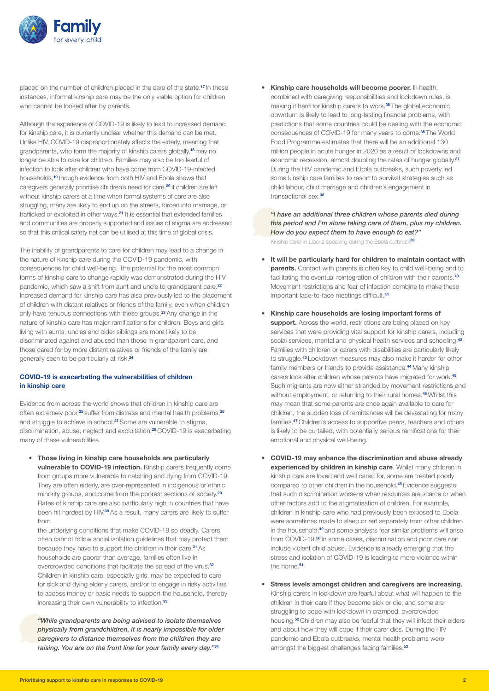

placed on the number of children placed in the care of the state.**17** In these instances, informal kinship care may be the only viable option for children who cannot be looked after by parents.

Although the experience of COVID-19 is likely to lead to increased demand for kinship care, it is currently unclear whether this demand can be met. Unlike HIV, COVID-19 disproportionately affects the elderly, meaning that grandparents, who form the majority of kinship carers globally,**18** may no longer be able to care for children. Families may also be too fearful of infection to look after children who have come from COVID-19-infected households,**19** though evidence from both HIV and Ebola shows that caregivers generally prioritise children's need for care.**20** If children are left without kinship carers at a time when formal systems of care are also struggling, many are likely to end up on the streets, forced into marriage, or trafficked or exploited in other ways.**21** It is essential that extended families and communities are properly supported and issues of stigma are addressed so that this critical safety net can be utilised at this time of global crisis.

The inability of grandparents to care for children may lead to a change in the nature of kinship care during the COVID-19 pandemic, with consequences for child well-being. The potential for the most common forms of kinship care to change rapidly was demonstrated during the HIV pandemic, which saw a shift from aunt and uncle to grandparent care.**<sup>22</sup>** Increased demand for kinship care has also previously led to the placement of children with distant relatives or friends of the family, even when children only have tenuous connections with these groups.**23** Any change in the nature of kinship care has major ramifications for children. Boys and girls living with aunts, uncles and older siblings are more likely to be discriminated against and abused than those in grandparent care, and those cared for by more distant relatives or friends of the family are generally seen to be particularly at risk.**<sup>24</sup>**

#### COVID-19 is exacerbating the vulnerabilities of children in kinship care

Evidence from across the world shows that children in kinship care are often extremely poor,**25** suffer from distress and mental health problems,**<sup>26</sup>** and struggle to achieve in school.**27** Some are vulnerable to stigma, discrimination, abuse, neglect and exploitation.**28** COVID-19 is exacerbating many of these vulnerabilities.

• Those living in kinship care households are particularly vulnerable to COVID-19 infection. Kinship carers frequently come from groups more vulnerable to catching and dying from COVID-19. They are often elderly, are over-represented in indigenous or ethnic minority groups, and come from the poorest sections of society.**<sup>29</sup>** Rates of kinship care are also particularly high in countries that have been hit hardest by HIV.**30** As a result, many carers are likely to suffer from

the underlying conditions that make COVID-19 so deadly. Carers often cannot follow social isolation guidelines that may protect them because they have to support the children in their care.**31** As households are poorer than average, families often live in overcrowded conditions that facilitate the spread of the virus.**<sup>32</sup>** Children in kinship care, especially girls, may be expected to care for sick and dying elderly carers, and/or to engage in risky activities to access money or basic needs to support the household, thereby increasing their own vulnerability to infection.**<sup>33</sup>**

*"While grandparents are being advised to isolate themselves physically from grandchildren, it is nearly impossible for older caregivers to distance themselves from the children they are raising. You are on the front line for your family every day."***<sup>34</sup>**

• Kinship care households will become poorer. Ill-health, combined with caregiving responsibilities and lockdown rules, is making it hard for kinship carers to work.**35** The global economic downturn is likely to lead to long-lasting financial problems, with predictions that some countries could be dealing with the economic consequences of COVID-19 for many years to come.**36** The World Food Programme estimates that there will be an additional 130 million people in acute hunger in 2020 as a result of lockdowns and economic recession, almost doubling the rates of hunger globally.**<sup>37</sup>** During the HIV pandemic and Ebola outbreaks, such poverty led some kinship care families to resort to survival strategies such as child labour, child marriage and children's engagement in transactional sex.**<sup>38</sup>**

*"I have an additional three children whose parents died during this period and I'm alone taking care of them, plus my children. How do you expect them to have enough to eat?"*  Kinship carer in Liberia speaking during the Ebola outbreak**<sup>39</sup>**

- It will be particularly hard for children to maintain contact with parents. Contact with parents is often key to child well-being and to facilitating the eventual reintegration of children with their parents.**<sup>40</sup>** Movement restrictions and fear of infection combine to make these important face-to-face meetings difficult.**<sup>41</sup>**
- Kinship care households are losing important forms of support. Across the world, restrictions are being placed on key services that were providing vital support for kinship carers, including social services, mental and physical health services and schooling.**<sup>42</sup>** Families with children or carers with disabilities are particularly likely to struggle.**43** Lockdown measures may also make it harder for other family members or friends to provide assistance.**44** Many kinship carers look after children whose parents have migrated for work.**<sup>45</sup>** Such migrants are now either stranded by movement restrictions and without employment, or returning to their rural homes.**46** Whilst this may mean that some parents are once again available to care for children, the sudden loss of remittances will be devastating for many families.**47** Children's access to supportive peers, teachers and others is likely to be curtailed, with potentially serious ramifications for their emotional and physical well-being.
- COVID-19 may enhance the discrimination and abuse already experienced by children in kinship care. Whilst many children in kinship care are loved and well cared for, some are treated poorly compared to other children in the household.**48** Evidence suggests that such discrimination worsens when resources are scarce or when other factors add to the stigmatisation of children. For example, children in kinship care who had previously been exposed to Ebola were sometimes made to sleep or eat separately from other children in the household,**49** and some analysts fear similar problems will arise from COVID-19.**50** In some cases, discrimination and poor care can include violent child abuse. Evidence is already emerging that the stress and isolation of COVID-19 is leading to more violence within the home.**<sup>51</sup>**
- Stress levels amongst children and caregivers are increasing. Kinship carers in lockdown are fearful about what will happen to the children in their care if they become sick or die, and some are struggling to cope with lockdown in cramped, overcrowded housing.**52** Children may also be fearful that they will infect their elders and about how they will cope if their carer dies. During the HIV pandemic and Ebola outbreaks, mental health problems were amongst the biggest challenges facing families.**<sup>53</sup>**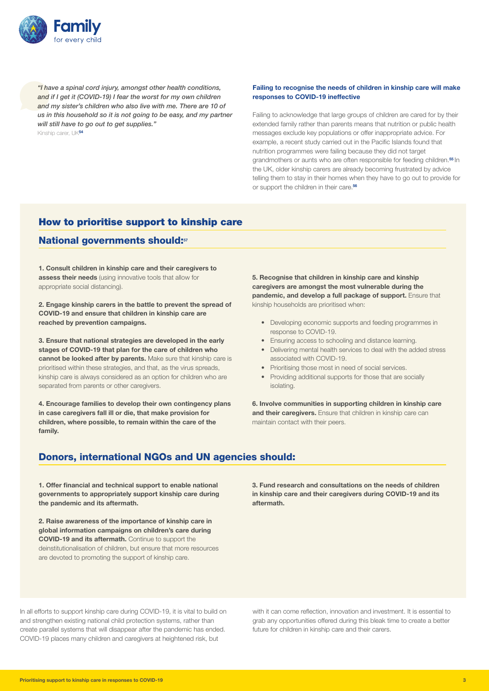

*"I have a spinal cord injury, amongst other health conditions, and if I get it (COVID-19) I fear the worst for my own children and my sister's children who also live with me. There are 10 of us in this household so it is not going to be easy, and my partner will still have to go out to get supplies."* 

Kinship carer, UK**<sup>54</sup>**

#### Failing to recognise the needs of children in kinship care will make responses to COVID-19 ineffective

Failing to acknowledge that large groups of children are cared for by their extended family rather than parents means that nutrition or public health messages exclude key populations or offer inappropriate advice. For example, a recent study carried out in the Pacific Islands found that nutrition programmes were failing because they did not target grandmothers or aunts who are often responsible for feeding children.**55** In the UK, older kinship carers are already becoming frustrated by advice telling them to stay in their homes when they have to go out to provide for or support the children in their care.**<sup>56</sup>**

## How to prioritise support to kinship care

### National governments should:**<sup>57</sup>**

1. Consult children in kinship care and their caregivers to assess their needs (using innovative tools that allow for appropriate social distancing).

2. Engage kinship carers in the battle to prevent the spread of COVID-19 and ensure that children in kinship care are reached by prevention campaigns.

3. Ensure that national strategies are developed in the early stages of COVID-19 that plan for the care of children who cannot be looked after by parents. Make sure that kinship care is prioritised within these strategies, and that, as the virus spreads, kinship care is always considered as an option for children who are separated from parents or other caregivers.

4. Encourage families to develop their own contingency plans in case caregivers fall ill or die, that make provision for children, where possible, to remain within the care of the family.

5. Recognise that children in kinship care and kinship caregivers are amongst the most vulnerable during the pandemic, and develop a full package of support. Ensure that kinship households are prioritised when:

- Developing economic supports and feeding programmes in response to COVID-19.
- Ensuring access to schooling and distance learning.
- Delivering mental health services to deal with the added stress associated with COVID-19.
- Prioritising those most in need of social services.
- Providing additional supports for those that are socially isolating.

6. Involve communities in supporting children in kinship care and their caregivers. Ensure that children in kinship care can maintain contact with their peers.

## Donors, international NGOs and UN agencies should:

1. Offer financial and technical support to enable national governments to appropriately support kinship care during the pandemic and its aftermath.

2. Raise awareness of the importance of kinship care in global information campaigns on children's care during COVID-19 and its aftermath. Continue to support the deinstitutionalisation of children, but ensure that more resources are devoted to promoting the support of kinship care.

3. Fund research and consultations on the needs of children in kinship care and their caregivers during COVID-19 and its aftermath.

In all efforts to support kinship care during COVID-19, it is vital to build on and strengthen existing national child protection systems, rather than create parallel systems that will disappear after the pandemic has ended. COVID-19 places many children and caregivers at heightened risk, but

with it can come reflection, innovation and investment. It is essential to grab any opportunities offered during this bleak time to create a better future for children in kinship care and their carers.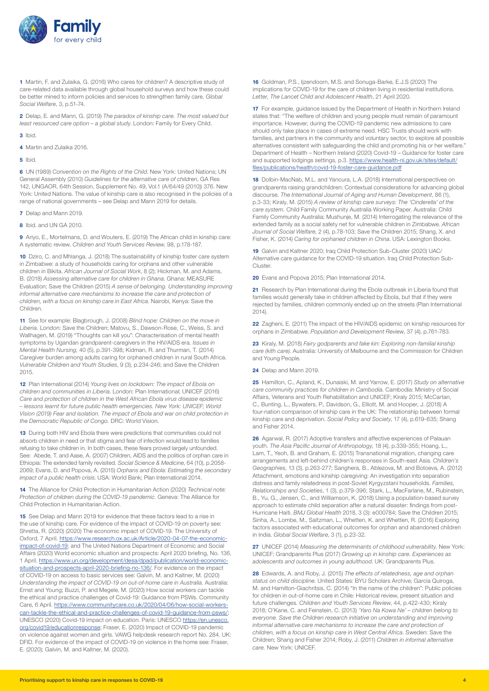

**1** Martin, F. and Zulaika, G. (2016) Who cares for children? A descriptive study of care-related data available through global household surveys and how these could be better mined to inform policies and services to strengthen family care. *Global Social Welfare*, 3, p.51-74.

**2** Delap, E. and Mann, G. (2019) *The paradox of kinship care. The most valued but least resourced care option – a global study*. London: Family for Every Child.

- **3** Ibid.
- **4** Martin and Zulaika 2016.
- **5** Ibid.

**6** UN (1989) *Convention on the Rights of the Child*. New York: United Nations; UN General Assembly (2010) *Guidelines for the alternative care of children*, GA Res 142, UNGAOR, 64th Session, Supplement No. 49, Vol.1 (A/64/49 (2010)) 376. New York: United Nations. The value of kinship care is also recognised in the policies of a range of national governments – see Delap and Mann 2019 for details.

- **7** Delap and Mann 2019.
- **8** Ibid. and UN GA 2010.

**9** Ariyo, E., Mortelmans, D. and Wouters, E. (2019) The African child in kinship care: A systematic review. *Children and Youth Services Review*, 98, p.178-187.

**10** Dziro, C. and Mhlanga, J. (2018) The sustainability of kinship foster care system in Zimbabwe: a study of households caring for orphans and other vulnerable children in Bikita. *African Journal of Social Work*, 8 (2); Hickman, M. and Adams, B. (2018) *Assessing alternative care for children in Ghana*. Ghana: MEASURE Evaluation; Save the Children (2015) *A sense of belonging. Understanding improving informal alternative care mechanisms to increase the care and protection of children, with a focus on kinship care in East Africa*. Nairobi, Kenya: Save the Children.

**11** See for example: Blagbrough, J. (2008) *Blind hope: Children on the move in Liberia.* London: Save the Children; Matovu, S., Dawson-Rose, C., Weiss, S. and Wallhagen, M. (2019) "Thoughts can kill you": Characterisation of mental health symptoms by Ugandan grandparent-caregivers in the HIV/AIDS era. *Issues in Mental Health Nursing*, 40 (5), p.391-398; Kidman, R. and Thurman, T. (2014) Caregiver burden among adults caring for orphaned children in rural South Africa. *Vulnerable Children and Youth Studies*, 9 (3), p.234-246; and Save the Children 2015.

**12** Plan International (2014) *Young lives on lockdown: The impact of Ebola on children and communities in Liberia*. London: Plan International; UNICEF (2016) *Care and protection of children in the West African Ebola virus disease epidemic – lessons learnt for future public health emergencies. New York: UNICEF; World Vision (2019) Fear and isolation. The impact of Ebola and war on child protection in the Democratic Republic of Congo.* DRC: World Vision.

**13** During both HIV and Ebola there were predictions that communities could not absorb children in need or that stigma and fear of infection would lead to families refusing to take children in. In both cases, these fears proved largely unfounded. See: Abede, T. and Aase, A. (2007) Children, AIDS and the politics of orphan care in Ethiopia: The extended family revisited. *Social Science & Medicine*, 64 (10), p.2058- 2069; Evans, D. and Popova, A. (2015) *Orphans and Ebola: Estimating the secondary impact of a public health crisis*. USA: World Bank; Plan International 2014.

**14** The Alliance for Child Protection in Humanitarian Action (2020) *Technical note: Protection of children during the COVID-19 pandemic*. Geneva: The Alliance for Child Protection in Humanitarian Action.

**15** See Delap and Mann 2019 for evidence that these factors lead to a rise in the use of kinship care. For evidence of the impact of COVID-19 on poverty see: Shretta, R. (2020) (2020) The economic impact of COVID-19. The University of Oxford, 7 April. [https://www.research.ox.ac.uk/Article/2020-04-07-the-economic](https://www.research.ox.ac.uk/Article/2020-04-07-the-economic-impact-of-covid-19)[impact-of-covid-19](https://www.research.ox.ac.uk/Article/2020-04-07-the-economic-impact-of-covid-19); and The United Nations Department of Economic and Social Affairs (2020) World economic situation and prospects: April 2020 briefing, No. 136, 1 April. [https://www.un.org/development/desa/dpad/publication/world-economic](https://www.un.org/development/desa/dpad/publication/world-economic-situation-and-prospects-april-2020-briefing-no-136/)[situation-and-prospects-april-2020-briefing-no-136/](https://www.un.org/development/desa/dpad/publication/world-economic-situation-and-prospects-april-2020-briefing-no-136/). For evidence on the impact of COVID-19 on access to basic services see: Galvin, M. and Kaltner, M. (2020) *Understanding the impact of COVID-19 on out-of-home care in Australia*. Australia: Ernst and Young; Buzzi, P. and Megele, M. (2020) How social workers can tackle the ethical and practice challenges of Covid-19: Guidance from PSWs. Community Care, 6 April. [https://www.communitycare.co.uk/2020/04/06/how-social-workers](https://www.communitycare.co.uk/2020/04/06/how-social-workers-can-tackle-the-ethical-and-practice-challenges-of-covid-19-guidance-from-psws/)[can-tackle-the-ethical-and-practice-challenges-of-covid-19-guidance-from-psws/](https://www.communitycare.co.uk/2020/04/06/how-social-workers-can-tackle-the-ethical-and-practice-challenges-of-covid-19-guidance-from-psws/); UNESCO (2020) Covid-19 impact on education. Paris: UNESCO [https://en.unesco.](https://en.unesco.org/covid19/educationresponse) [org/covid19/educationresponse](https://en.unesco.org/covid19/educationresponse); Fraser, E. (2020) Impact of COVID-19 pandemic on violence against women and girls. VAWG helpdesk research report No. 284. UK: DFID. For evidence of the impact of COVID-19 on violence in the home see: Fraser, E. (2020); Galvin, M. and Kaltner, M. (2020).

**16** Goldman, P.S., Ijzendoorn, M.S. and Sonuga-Barke, E.J.S (2020) The implications for COVID-19 for the care of children living in residential institutions. *Letter, The Lancet Child and Adolescent Health*, 21 April 2020.

**17** For example, guidance issued by the Department of Health in Northern Ireland states that: "The welfare of children and young people must remain of paramount importance. However, during the COVID-19 pandemic new admissions to care should only take place in cases of extreme need. HSC Trusts should work with families, and partners in the community and voluntary sector, to explore all possible alternatives consistent with safeguarding the child and promoting his or her welfare." Department of Health – Northern Ireland (2020) Covid-19 – Guidance for foster care and supported lodgings settings, p.3. [https://www.health-ni.gov.uk/sites/default/](https://www.health-ni.gov.uk/sites/default/files/publications/health/covid-19-foster-care-guidance.pdf) [files/publications/health/covid-19-foster-care-guidance.pdf](https://www.health-ni.gov.uk/sites/default/files/publications/health/covid-19-foster-care-guidance.pdf)

**18** Dolbin-MacNab, M.L. and Yancura, L.A. (2018) International perspectives on grandparents raising grandchildren: Contextual considerations for advancing global discourse. *The International Journal of Aging and Human Development*, 86 (1), p.3-33; Kiraly, M. (2015) *A review of kinship care surveys: The 'Cinderella' of the care system.* Child Family Community Australia Working Paper. Australia: Child Family Community Australia; Mushunje, M. (2014) Interrogating the relevance of the extended family as a social safety net for vulnerable children in Zimbabwe. *African Journal of Social Welfare*, 2 (4), p.78-103; Save the Children 2015; Shang, X. and Fisher, K. (2014) *Caring for orphaned children in China*. USA: Lexington Books.

**19** Galvin and Kaltner 2020; Iraq Child Protection Sub-Cluster (2020) UAC/ Alternative care guidance for the COVID-19 situation. Iraq Child Protection Sub-**Cluster** 

**20** Evans and Popova 2015; Plan International 2014.

**21** Research by Plan International during the Ebola outbreak in Liberia found that families would generally take in children affected by Ebola, but that if they were rejected by families, children commonly ended up on the streets (Plan International 2014).

**22** Zagheni, E. (2011) The impact of the HIV/AIDS epidemic on kinship resources for orphans in Zimbabwe. *Population and Development Review*, 37 (4), p.761-783.

**23** Kiraly, M. (2018) *Fairy godparents and fake kin: Exploring non-familial kinship care (kith care)*. Australia: University of Melbourne and the Commission for Children and Young People.

**24** Delap and Mann 2019.

**25** Hamilton, C., Apland, K., Dunaiski, M. and Yarrow, E. (2017) *Study on alternative care community practices for children in Cambodia*. Cambodia: Ministry of Social Affairs, Veterans and Youth Rehabilitation and UNICEF; Kiraly 2015; McCartan, C., Bunting, L., Bywaters, P., Davidson, G., Elliott, M. and Hooper, J. (2018) A four-nation comparison of kinship care in the UK: The relationship between formal kinship care and deprivation. *Social Policy and Society*, 17 (4), p.619-635; Shang and Fisher 2014.

**26** Agarwal, R. (2017) Adoptive transfers and affective experiences of Palauan youth. *The Asia Pacific Journal of Anthropology*, 18 (4), p.339-355; Hoang, L., Lam, T., Yeoh, B. and Graham, E. (2015) Transnational migration, changing care arrangements and left-behind children's responses in South-east Asia. *Children's Geographies*, 13 (3), p.263-277; Sanghera, B., Ablezova, M. and Botoeva, A. (2012) Attachment, emotions and kinship caregiving: An investigation into separation distress and family relatedness in post-Soviet Kyrgyzstani households. *Families, Relationships and Societies*, 1 (3), p.379-396; Stark, L., MacFarlane, M., Rubinstein, B., Yu, G., Jensen, C., and Williamson, K. (2018) Using a population-based survey approach to estimate child separation after a natural disaster: findings from post-Hurricane Haiti. *BMJ Global Health* 2018, 3 (3): e000784; Save the Children 2015; Sinha, A., Lombe, M., Saltzman, L., Whetten, K. and Whetten, R. (2016) Exploring factors associated with educational outcomes for orphan and abandoned children in India. *Global Social Welfare*, 3 (1), p.23-32.

**27** UNICEF (2014) *Measuring the determinants of childhood vulnerability*. New York: UNICEF; Grandparents Plus (2017) *Growing up in kinship care. Experiences as adolescents and outcomes in young adulthood*. UK: Grandparents Plus.

**28** Edwards, A. and Roby, J. (2015) *The effects of relatedness, age and orphan status on child discipline*. United States: BYU Scholars Archive; Garcia Quiroga, M. and Hamilton-Giachritsis, C. (2014) "In the name of the children": Public policies for children in out-of-home care in Chile: Historical review, present situation and future challenges. *Children and Youth Services Review*, 44, p.422-430; Kiraly 2018; O'Kane, C. and Feinstein, C. (2013) *'Yaro Na Kowa Ne' – children belong to everyone. Save the Children research initiative on understanding and improving informal alternative care mechanisms to increase the care and protection of children, with a focus on kinship care in West Central Africa*. Sweden: Save the Children; Shang and Fisher 2014; Roby, J. (2011) *Children in informal alternative care.* New York: UNICEF.